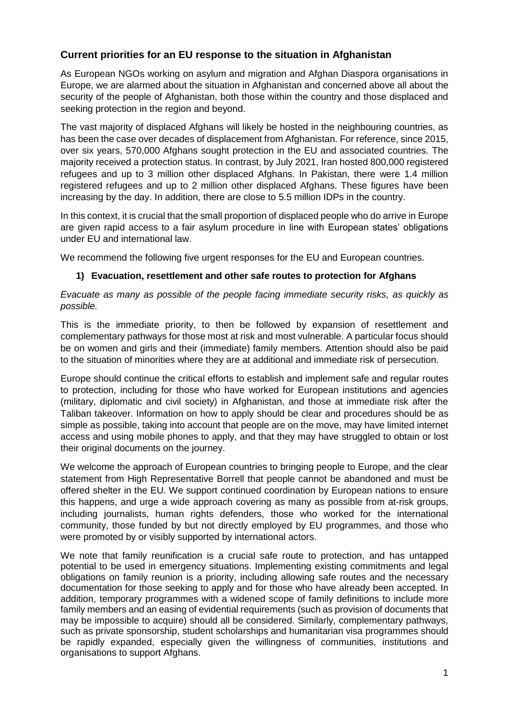### **Current priorities for an EU response to the situation in Afghanistan**

As European NGOs working on asylum and migration and Afghan Diaspora organisations in Europe, we are alarmed about the situation in Afghanistan and concerned above all about the security of the people of Afghanistan, both those within the country and those displaced and seeking protection in the region and beyond.

The vast majority of displaced Afghans will likely be hosted in the neighbouring countries, as has been the case over decades of displacement from Afghanistan. For reference, since 2015, over six years, 570,000 Afghans sought protection in the EU and associated countries. The majority received a protection status. In contrast, by July 2021, Iran hosted 800,000 registered refugees and up to 3 million other displaced Afghans. In Pakistan, there were 1.4 million registered refugees and up to 2 million other displaced Afghans. These figures have been increasing by the day. In addition, there are close to 5.5 million IDPs in the country.

In this context, it is crucial that the small proportion of displaced people who do arrive in Europe are given rapid access to a fair asylum procedure in line with European states' obligations under EU and international law.

We recommend the following five urgent responses for the EU and European countries.

#### **1) Evacuation, resettlement and other safe routes to protection for Afghans**

*Evacuate as many as possible of the people facing immediate security risks, as quickly as possible.* 

This is the immediate priority, to then be followed by expansion of resettlement and complementary pathways for those most at risk and most vulnerable. A particular focus should be on women and girls and their (immediate) family members. Attention should also be paid to the situation of minorities where they are at additional and immediate risk of persecution.

Europe should continue the critical efforts to establish and implement safe and regular routes to protection, including for those who have worked for European institutions and agencies (military, diplomatic and civil society) in Afghanistan, and those at immediate risk after the Taliban takeover. Information on how to apply should be clear and procedures should be as simple as possible, taking into account that people are on the move, may have limited internet access and using mobile phones to apply, and that they may have struggled to obtain or lost their original documents on the journey.

We welcome the approach of European countries to bringing people to Europe, and the clear statement from High Representative Borrell that people cannot be abandoned and must be offered shelter in the EU. We support continued coordination by European nations to ensure this happens, and urge a wide approach covering as many as possible from at-risk groups, including journalists, human rights defenders, those who worked for the international community, those funded by but not directly employed by EU programmes, and those who were promoted by or visibly supported by international actors.

We note that family reunification is a crucial safe route to protection, and has untapped potential to be used in emergency situations. Implementing existing commitments and legal obligations on family reunion is a priority, including allowing safe routes and the necessary documentation for those seeking to apply and for those who have already been accepted. In addition, temporary programmes with a widened scope of family definitions to include more family members and an easing of evidential requirements (such as provision of documents that may be impossible to acquire) should all be considered. Similarly, complementary pathways, such as private sponsorship, student scholarships and humanitarian visa programmes should be rapidly expanded, especially given the willingness of communities, institutions and organisations to support Afghans.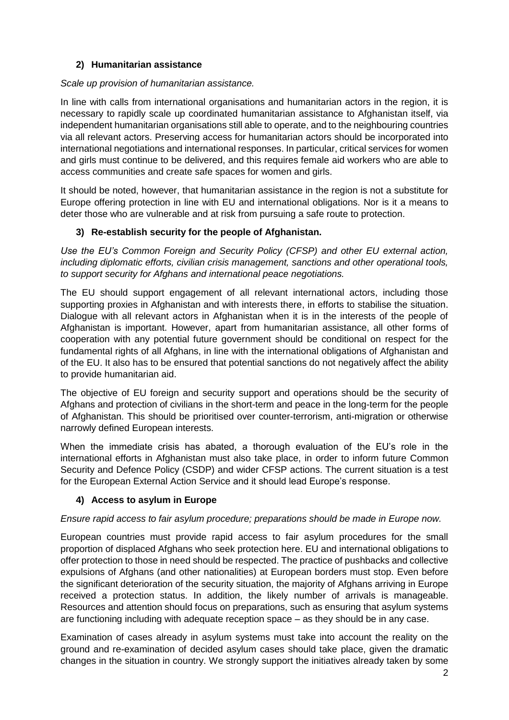### **2) Humanitarian assistance**

### *Scale up provision of humanitarian assistance.*

In line with calls from international organisations and humanitarian actors in the region, it is necessary to rapidly scale up coordinated humanitarian assistance to Afghanistan itself, via independent humanitarian organisations still able to operate, and to the neighbouring countries via all relevant actors. Preserving access for humanitarian actors should be incorporated into international negotiations and international responses. In particular, critical services for women and girls must continue to be delivered, and this requires female aid workers who are able to access communities and create safe spaces for women and girls.

It should be noted, however, that humanitarian assistance in the region is not a substitute for Europe offering protection in line with EU and international obligations. Nor is it a means to deter those who are vulnerable and at risk from pursuing a safe route to protection.

# **3) Re-establish security for the people of Afghanistan.**

*Use the EU's Common Foreign and Security Policy (CFSP) and other EU external action, including diplomatic efforts, civilian crisis management, sanctions and other operational tools, to support security for Afghans and international peace negotiations.* 

The EU should support engagement of all relevant international actors, including those supporting proxies in Afghanistan and with interests there, in efforts to stabilise the situation. Dialogue with all relevant actors in Afghanistan when it is in the interests of the people of Afghanistan is important. However, apart from humanitarian assistance, all other forms of cooperation with any potential future government should be conditional on respect for the fundamental rights of all Afghans, in line with the international obligations of Afghanistan and of the EU. It also has to be ensured that potential sanctions do not negatively affect the ability to provide humanitarian aid.

The objective of EU foreign and security support and operations should be the security of Afghans and protection of civilians in the short-term and peace in the long-term for the people of Afghanistan. This should be prioritised over counter-terrorism, anti-migration or otherwise narrowly defined European interests.

When the immediate crisis has abated, a thorough evaluation of the EU's role in the international efforts in Afghanistan must also take place, in order to inform future Common Security and Defence Policy (CSDP) and wider CFSP actions. The current situation is a test for the European External Action Service and it should lead Europe's response.

# **4) Access to asylum in Europe**

# *Ensure rapid access to fair asylum procedure; preparations should be made in Europe now.*

European countries must provide rapid access to fair asylum procedures for the small proportion of displaced Afghans who seek protection here. EU and international obligations to offer protection to those in need should be respected. The practice of pushbacks and collective expulsions of Afghans (and other nationalities) at European borders must stop. Even before the significant deterioration of the security situation, the majority of Afghans arriving in Europe received a protection status. In addition, the likely number of arrivals is manageable. Resources and attention should focus on preparations, such as ensuring that asylum systems are functioning including with adequate reception space – as they should be in any case.

Examination of cases already in asylum systems must take into account the reality on the ground and re-examination of decided asylum cases should take place, given the dramatic changes in the situation in country. We strongly support the initiatives already taken by some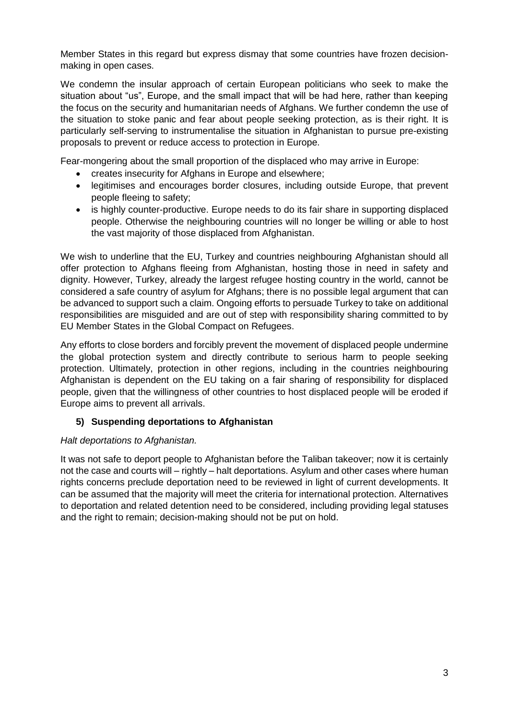Member States in this regard but express dismay that some countries have frozen decisionmaking in open cases.

We condemn the insular approach of certain European politicians who seek to make the situation about "us", Europe, and the small impact that will be had here, rather than keeping the focus on the security and humanitarian needs of Afghans. We further condemn the use of the situation to stoke panic and fear about people seeking protection, as is their right. It is particularly self-serving to instrumentalise the situation in Afghanistan to pursue pre-existing proposals to prevent or reduce access to protection in Europe.

Fear-mongering about the small proportion of the displaced who may arrive in Europe:

- creates insecurity for Afghans in Europe and elsewhere;
- legitimises and encourages border closures, including outside Europe, that prevent people fleeing to safety;
- is highly counter-productive. Europe needs to do its fair share in supporting displaced people. Otherwise the neighbouring countries will no longer be willing or able to host the vast majority of those displaced from Afghanistan.

We wish to underline that the EU, Turkey and countries neighbouring Afghanistan should all offer protection to Afghans fleeing from Afghanistan, hosting those in need in safety and dignity. However, Turkey, already the largest refugee hosting country in the world, cannot be considered a safe country of asylum for Afghans; there is no possible legal argument that can be advanced to support such a claim. Ongoing efforts to persuade Turkey to take on additional responsibilities are misguided and are out of step with responsibility sharing committed to by EU Member States in the Global Compact on Refugees.

Any efforts to close borders and forcibly prevent the movement of displaced people undermine the global protection system and directly contribute to serious harm to people seeking protection. Ultimately, protection in other regions, including in the countries neighbouring Afghanistan is dependent on the EU taking on a fair sharing of responsibility for displaced people, given that the willingness of other countries to host displaced people will be eroded if Europe aims to prevent all arrivals.

### **5) Suspending deportations to Afghanistan**

#### *Halt deportations to Afghanistan.*

It was not safe to deport people to Afghanistan before the Taliban takeover; now it is certainly not the case and courts will – rightly – halt deportations. Asylum and other cases where human rights concerns preclude deportation need to be reviewed in light of current developments. It can be assumed that the majority will meet the criteria for international protection. Alternatives to deportation and related detention need to be considered, including providing legal statuses and the right to remain; decision-making should not be put on hold.